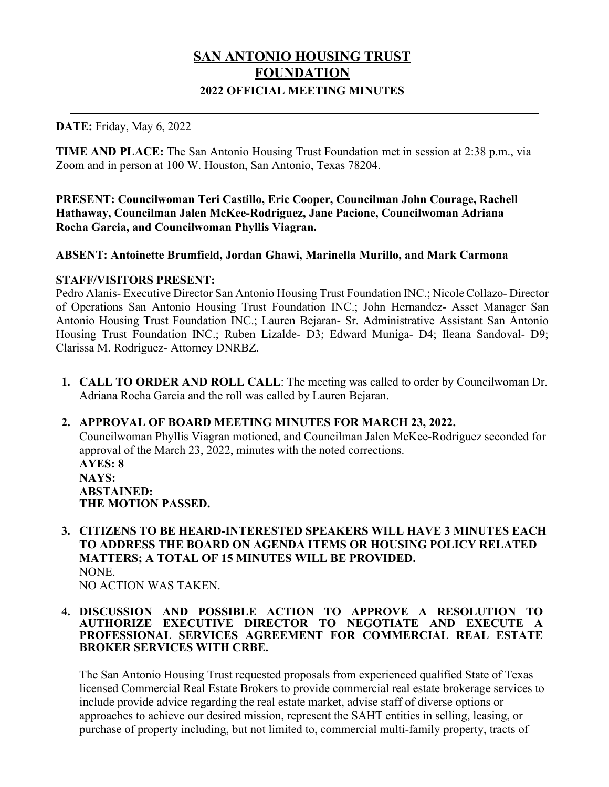# **SAN ANTONIO HOUSING TRUST FOUNDATION 2022 OFFICIAL MEETING MINUTES**

#### **DATE:** Friday, May 6, 2022

**TIME AND PLACE:** The San Antonio Housing Trust Foundation met in session at 2:38 p.m., via Zoom and in person at 100 W. Houston, San Antonio, Texas 78204.

**PRESENT: Councilwoman Teri Castillo, Eric Cooper, Councilman John Courage, Rachell Hathaway, Councilman Jalen McKee-Rodriguez, Jane Pacione, Councilwoman Adriana Rocha Garcia, and Councilwoman Phyllis Viagran.**

#### **ABSENT: Antoinette Brumfield, Jordan Ghawi, Marinella Murillo, and Mark Carmona**

#### **STAFF/VISITORS PRESENT:**

Pedro Alanis- Executive Director San Antonio Housing Trust Foundation INC.; Nicole Collazo- Director of Operations San Antonio Housing Trust Foundation INC.; John Hernandez- Asset Manager San Antonio Housing Trust Foundation INC.; Lauren Bejaran- Sr. Administrative Assistant San Antonio Housing Trust Foundation INC.; Ruben Lizalde- D3; Edward Muniga- D4; Ileana Sandoval- D9; Clarissa M. Rodriguez- Attorney DNRBZ.

**1. CALL TO ORDER AND ROLL CALL**: The meeting was called to order by Councilwoman Dr. Adriana Rocha Garcia and the roll was called by Lauren Bejaran.

#### **2. APPROVAL OF BOARD MEETING MINUTES FOR MARCH 23, 2022.**

Councilwoman Phyllis Viagran motioned, and Councilman Jalen McKee-Rodriguez seconded for approval of the March 23, 2022, minutes with the noted corrections. **AYES: 8 NAYS: ABSTAINED: THE MOTION PASSED.**

**3. CITIZENS TO BE HEARD-INTERESTED SPEAKERS WILL HAVE 3 MINUTES EACH TO ADDRESS THE BOARD ON AGENDA ITEMS OR HOUSING POLICY RELATED MATTERS; A TOTAL OF 15 MINUTES WILL BE PROVIDED.** NONE.

NO ACTION WAS TAKEN.

#### **4. DISCUSSION AND POSSIBLE ACTION TO APPROVE A RESOLUTION TO AUTHORIZE EXECUTIVE DIRECTOR TO NEGOTIATE AND EXECUTE A PROFESSIONAL SERVICES AGREEMENT FOR COMMERCIAL REAL ESTATE BROKER SERVICES WITH CRBE.**

The San Antonio Housing Trust requested proposals from experienced qualified State of Texas licensed Commercial Real Estate Brokers to provide commercial real estate brokerage services to include provide advice regarding the real estate market, advise staff of diverse options or approaches to achieve our desired mission, represent the SAHT entities in selling, leasing, or purchase of property including, but not limited to, commercial multi-family property, tracts of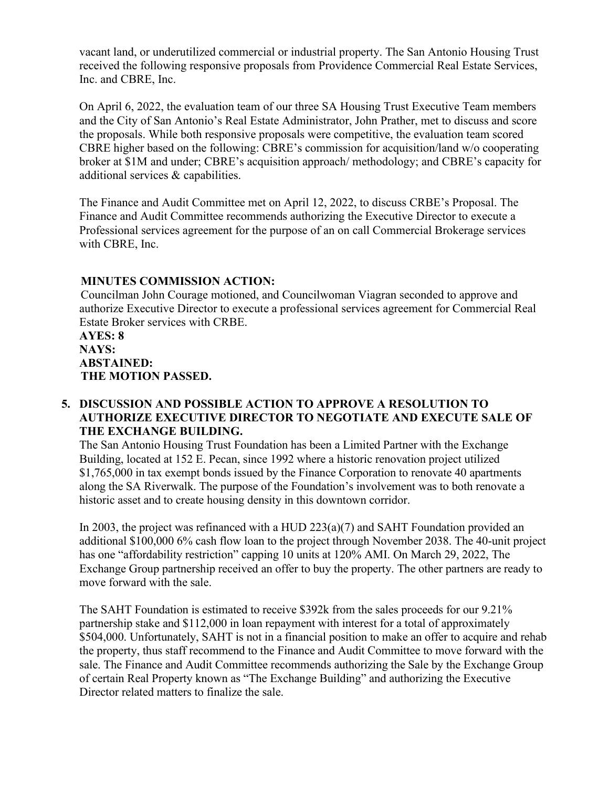vacant land, or underutilized commercial or industrial property. The San Antonio Housing Trust received the following responsive proposals from Providence Commercial Real Estate Services, Inc. and CBRE, Inc.

On April 6, 2022, the evaluation team of our three SA Housing Trust Executive Team members and the City of San Antonio's Real Estate Administrator, John Prather, met to discuss and score the proposals. While both responsive proposals were competitive, the evaluation team scored CBRE higher based on the following: CBRE's commission for acquisition/land w/o cooperating broker at \$1M and under; CBRE's acquisition approach/ methodology; and CBRE's capacity for additional services & capabilities.

The Finance and Audit Committee met on April 12, 2022, to discuss CRBE's Proposal. The Finance and Audit Committee recommends authorizing the Executive Director to execute a Professional services agreement for the purpose of an on call Commercial Brokerage services with CBRE, Inc.

## **MINUTES COMMISSION ACTION:**

Councilman John Courage motioned, and Councilwoman Viagran seconded to approve and authorize Executive Director to execute a professional services agreement for Commercial Real Estate Broker services with CRBE.

#### **AYES: 8 NAYS: ABSTAINED: THE MOTION PASSED.**

## **5. DISCUSSION AND POSSIBLE ACTION TO APPROVE A RESOLUTION TO AUTHORIZE EXECUTIVE DIRECTOR TO NEGOTIATE AND EXECUTE SALE OF THE EXCHANGE BUILDING.**

The San Antonio Housing Trust Foundation has been a Limited Partner with the Exchange Building, located at 152 E. Pecan, since 1992 where a historic renovation project utilized \$1,765,000 in tax exempt bonds issued by the Finance Corporation to renovate 40 apartments along the SA Riverwalk. The purpose of the Foundation's involvement was to both renovate a historic asset and to create housing density in this downtown corridor.

In 2003, the project was refinanced with a HUD  $223(a)(7)$  and SAHT Foundation provided an additional \$100,000 6% cash flow loan to the project through November 2038. The 40-unit project has one "affordability restriction" capping 10 units at 120% AMI. On March 29, 2022, The Exchange Group partnership received an offer to buy the property. The other partners are ready to move forward with the sale.

The SAHT Foundation is estimated to receive \$392k from the sales proceeds for our 9.21% partnership stake and \$112,000 in loan repayment with interest for a total of approximately \$504,000. Unfortunately, SAHT is not in a financial position to make an offer to acquire and rehab the property, thus staff recommend to the Finance and Audit Committee to move forward with the sale. The Finance and Audit Committee recommends authorizing the Sale by the Exchange Group of certain Real Property known as "The Exchange Building" and authorizing the Executive Director related matters to finalize the sale.